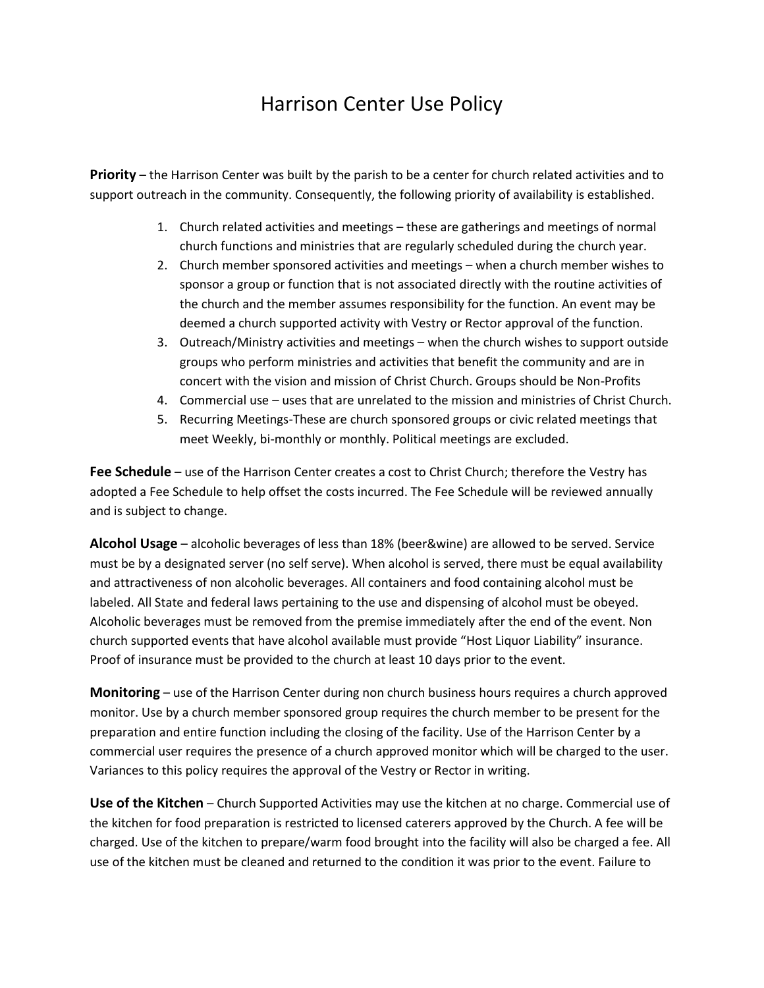## Harrison Center Use Policy

**Priority** – the Harrison Center was built by the parish to be a center for church related activities and to support outreach in the community. Consequently, the following priority of availability is established.

- 1. Church related activities and meetings these are gatherings and meetings of normal church functions and ministries that are regularly scheduled during the church year.
- 2. Church member sponsored activities and meetings when a church member wishes to sponsor a group or function that is not associated directly with the routine activities of the church and the member assumes responsibility for the function. An event may be deemed a church supported activity with Vestry or Rector approval of the function.
- 3. Outreach/Ministry activities and meetings when the church wishes to support outside groups who perform ministries and activities that benefit the community and are in concert with the vision and mission of Christ Church. Groups should be Non-Profits
- 4. Commercial use uses that are unrelated to the mission and ministries of Christ Church.
- 5. Recurring Meetings-These are church sponsored groups or civic related meetings that meet Weekly, bi-monthly or monthly. Political meetings are excluded.

**Fee Schedule** – use of the Harrison Center creates a cost to Christ Church; therefore the Vestry has adopted a Fee Schedule to help offset the costs incurred. The Fee Schedule will be reviewed annually and is subject to change.

**Alcohol Usage** – alcoholic beverages of less than 18% (beer&wine) are allowed to be served. Service must be by a designated server (no self serve). When alcohol is served, there must be equal availability and attractiveness of non alcoholic beverages. All containers and food containing alcohol must be labeled. All State and federal laws pertaining to the use and dispensing of alcohol must be obeyed. Alcoholic beverages must be removed from the premise immediately after the end of the event. Non church supported events that have alcohol available must provide "Host Liquor Liability" insurance. Proof of insurance must be provided to the church at least 10 days prior to the event.

**Monitoring** – use of the Harrison Center during non church business hours requires a church approved monitor. Use by a church member sponsored group requires the church member to be present for the preparation and entire function including the closing of the facility. Use of the Harrison Center by a commercial user requires the presence of a church approved monitor which will be charged to the user. Variances to this policy requires the approval of the Vestry or Rector in writing.

**Use of the Kitchen** – Church Supported Activities may use the kitchen at no charge. Commercial use of the kitchen for food preparation is restricted to licensed caterers approved by the Church. A fee will be charged. Use of the kitchen to prepare/warm food brought into the facility will also be charged a fee. All use of the kitchen must be cleaned and returned to the condition it was prior to the event. Failure to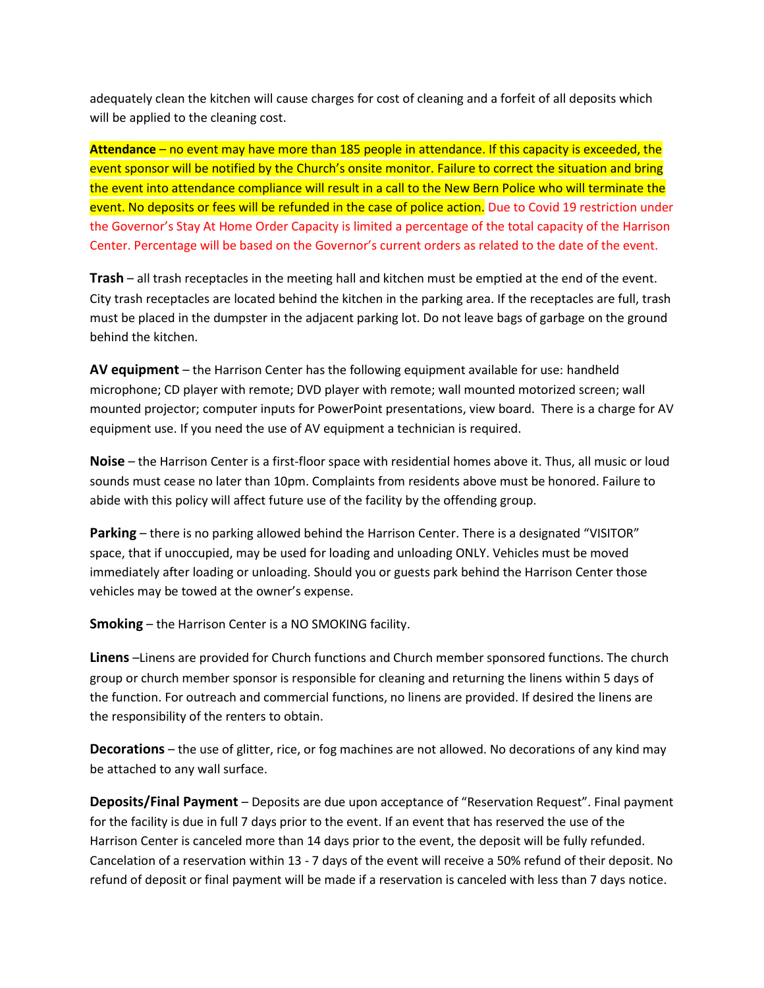adequately clean the kitchen will cause charges for cost of cleaning and a forfeit of all deposits which will be applied to the cleaning cost.

**Attendance** – no event may have more than 185 people in attendance. If this capacity is exceeded, the event sponsor will be notified by the Church's onsite monitor. Failure to correct the situation and bring the event into attendance compliance will result in a call to the New Bern Police who will terminate the event. No deposits or fees will be refunded in the case of police action. Due to Covid 19 restriction under the Governor's Stay At Home Order Capacity is limited a percentage of the total capacity of the Harrison Center. Percentage will be based on the Governor's current orders as related to the date of the event.

**Trash** – all trash receptacles in the meeting hall and kitchen must be emptied at the end of the event. City trash receptacles are located behind the kitchen in the parking area. If the receptacles are full, trash must be placed in the dumpster in the adjacent parking lot. Do not leave bags of garbage on the ground behind the kitchen.

**AV equipment** – the Harrison Center has the following equipment available for use: handheld microphone; CD player with remote; DVD player with remote; wall mounted motorized screen; wall mounted projector; computer inputs for PowerPoint presentations, view board. There is a charge for AV equipment use. If you need the use of AV equipment a technician is required.

**Noise** – the Harrison Center is a first-floor space with residential homes above it. Thus, all music or loud sounds must cease no later than 10pm. Complaints from residents above must be honored. Failure to abide with this policy will affect future use of the facility by the offending group.

**Parking** – there is no parking allowed behind the Harrison Center. There is a designated "VISITOR" space, that if unoccupied, may be used for loading and unloading ONLY. Vehicles must be moved immediately after loading or unloading. Should you or guests park behind the Harrison Center those vehicles may be towed at the owner's expense.

**Smoking** – the Harrison Center is a NO SMOKING facility.

**Linens** –Linens are provided for Church functions and Church member sponsored functions. The church group or church member sponsor is responsible for cleaning and returning the linens within 5 days of the function. For outreach and commercial functions, no linens are provided. If desired the linens are the responsibility of the renters to obtain.

**Decorations** – the use of glitter, rice, or fog machines are not allowed. No decorations of any kind may be attached to any wall surface.

**Deposits/Final Payment** – Deposits are due upon acceptance of "Reservation Request". Final payment for the facility is due in full 7 days prior to the event. If an event that has reserved the use of the Harrison Center is canceled more than 14 days prior to the event, the deposit will be fully refunded. Cancelation of a reservation within 13 - 7 days of the event will receive a 50% refund of their deposit. No refund of deposit or final payment will be made if a reservation is canceled with less than 7 days notice.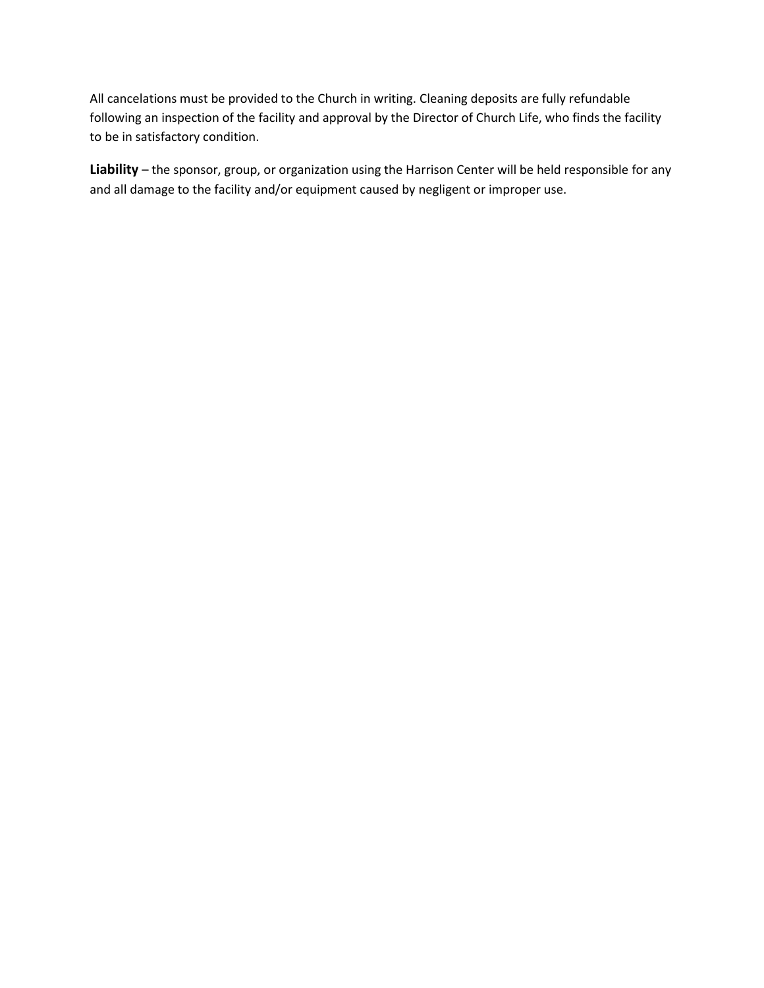All cancelations must be provided to the Church in writing. Cleaning deposits are fully refundable following an inspection of the facility and approval by the Director of Church Life, who finds the facility to be in satisfactory condition.

**Liability** – the sponsor, group, or organization using the Harrison Center will be held responsible for any and all damage to the facility and/or equipment caused by negligent or improper use.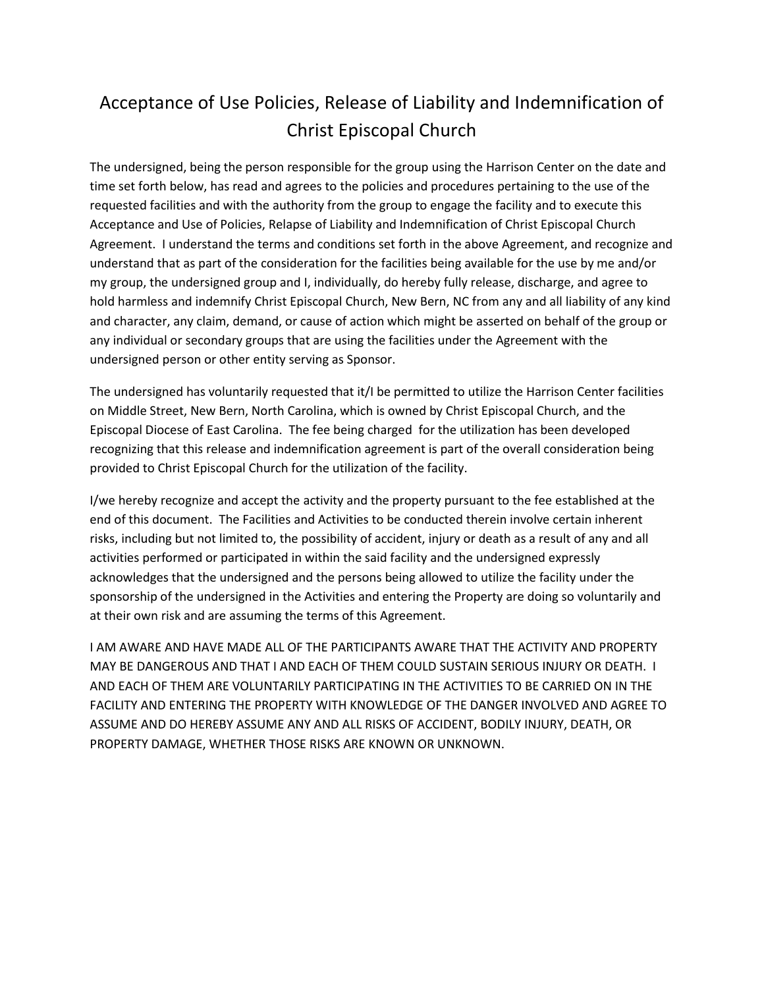## Acceptance of Use Policies, Release of Liability and Indemnification of Christ Episcopal Church

The undersigned, being the person responsible for the group using the Harrison Center on the date and time set forth below, has read and agrees to the policies and procedures pertaining to the use of the requested facilities and with the authority from the group to engage the facility and to execute this Acceptance and Use of Policies, Relapse of Liability and Indemnification of Christ Episcopal Church Agreement. I understand the terms and conditions set forth in the above Agreement, and recognize and understand that as part of the consideration for the facilities being available for the use by me and/or my group, the undersigned group and I, individually, do hereby fully release, discharge, and agree to hold harmless and indemnify Christ Episcopal Church, New Bern, NC from any and all liability of any kind and character, any claim, demand, or cause of action which might be asserted on behalf of the group or any individual or secondary groups that are using the facilities under the Agreement with the undersigned person or other entity serving as Sponsor.

The undersigned has voluntarily requested that it/I be permitted to utilize the Harrison Center facilities on Middle Street, New Bern, North Carolina, which is owned by Christ Episcopal Church, and the Episcopal Diocese of East Carolina. The fee being charged for the utilization has been developed recognizing that this release and indemnification agreement is part of the overall consideration being provided to Christ Episcopal Church for the utilization of the facility.

I/we hereby recognize and accept the activity and the property pursuant to the fee established at the end of this document. The Facilities and Activities to be conducted therein involve certain inherent risks, including but not limited to, the possibility of accident, injury or death as a result of any and all activities performed or participated in within the said facility and the undersigned expressly acknowledges that the undersigned and the persons being allowed to utilize the facility under the sponsorship of the undersigned in the Activities and entering the Property are doing so voluntarily and at their own risk and are assuming the terms of this Agreement.

I AM AWARE AND HAVE MADE ALL OF THE PARTICIPANTS AWARE THAT THE ACTIVITY AND PROPERTY MAY BE DANGEROUS AND THAT I AND EACH OF THEM COULD SUSTAIN SERIOUS INJURY OR DEATH. I AND EACH OF THEM ARE VOLUNTARILY PARTICIPATING IN THE ACTIVITIES TO BE CARRIED ON IN THE FACILITY AND ENTERING THE PROPERTY WITH KNOWLEDGE OF THE DANGER INVOLVED AND AGREE TO ASSUME AND DO HEREBY ASSUME ANY AND ALL RISKS OF ACCIDENT, BODILY INJURY, DEATH, OR PROPERTY DAMAGE, WHETHER THOSE RISKS ARE KNOWN OR UNKNOWN.